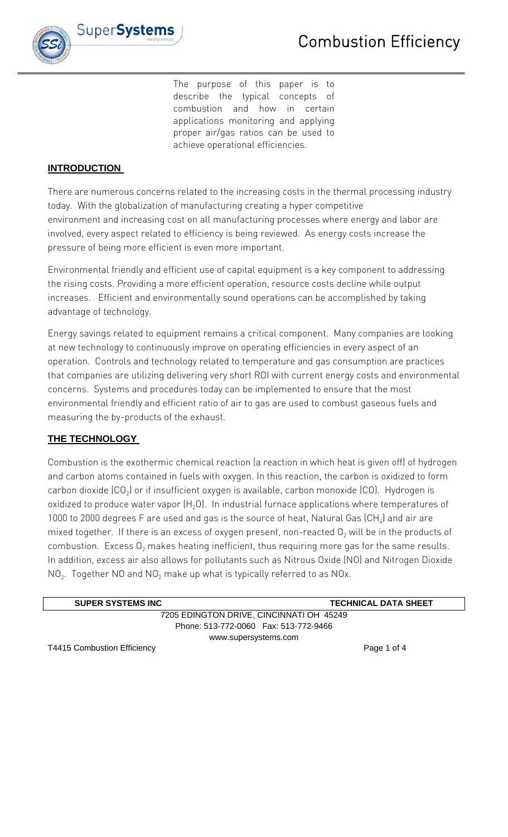

The purpose of this paper is to describe the typical concepts of combustion and how in certain applications monitoring and applying proper air/gas ratios can be used to achieve operational efficiencies.

### **INTRODUCTION**

There are numerous concerns related to the increasing costs in the thermal processing industry today. With the globalization of manufacturing creating a hyper competitive environment and increasing cost on all manufacturing processes where energy and labor are involved, every aspect related to efficiency is being reviewed. As energy costs increase the pressure of being more efficient is even more important.

Environmental friendly and efficient use of capital equipment is a key component to addressing the rising costs. Providing a more efficient operation, resource costs decline while output increases. Efficient and environmentally sound operations can be accomplished by taking advantage of technology.

Energy savings related to equipment remains a critical component. Many companies are looking at new technology to continuously improve on operating efficiencies in every aspect of an operation. Controls and technology related to temperature and gas consumption are practices that companies are utilizing delivering very short ROI with current energy costs and environmental concerns. Systems and procedures today can be implemented to ensure that the most environmental friendly and efficient ratio of air to gas are used to combust gaseous fuels and measuring the by-products of the exhaust.

# **THE TECHNOLOGY**

Combustion is the exothermic chemical reaction (a reaction in which heat is given off) of hydrogen and carbon atoms contained in fuels with oxygen. In this reaction, the carbon is oxidized to form carbon dioxide  $(CO<sub>2</sub>)$  or if insufficient oxygen is available, carbon monoxide  $(CO)$ . Hydrogen is oxidized to produce water vapor  $(H<sub>2</sub>O)$ . In industrial furnace applications where temperatures of 1000 to 2000 degrees F are used and gas is the source of heat, Natural Gas  $(CH_4)$  and air are mixed together. If there is an excess of oxygen present, non-reacted  $O<sub>2</sub>$  will be in the products of combustion. Excess  $O<sub>2</sub>$  makes heating inefficient, thus requiring more gas for the same results. In addition, excess air also allows for pollutants such as Nitrous Oxide (NO) and Nitrogen Dioxide  $NO<sub>2</sub>$ . Together NO and NO<sub>2</sub> make up what is typically referred to as NOx.

| <b>SUPER SYSTEMS INC</b>                 | <b>TECHNICAL DATA SHEET</b> |
|------------------------------------------|-----------------------------|
| 7205 EDINGTON DRIVE, CINCINNATI OH 45249 |                             |
| Phone: 513-772-0060  Fax: 513-772-9466   |                             |
| www.supersystems.com                     |                             |
|                                          | D 4 . 1 4                   |

T4415 Combustion Efficiency Page 1 of 4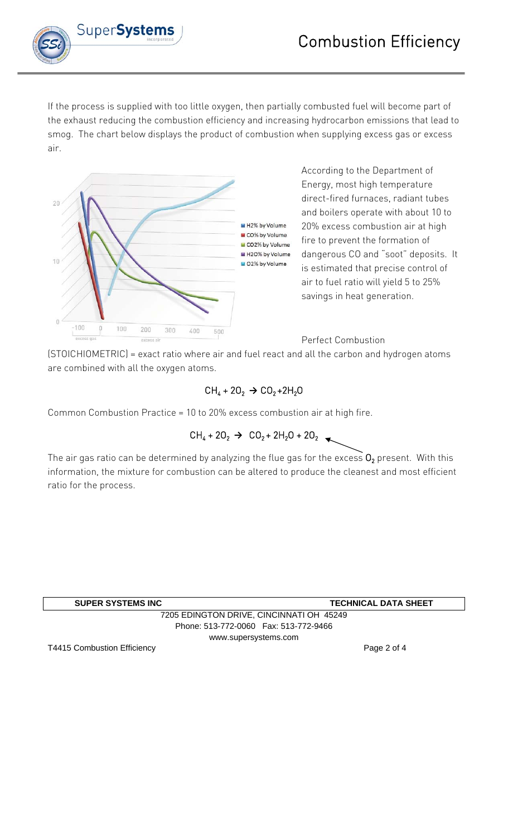

If the process is supplied with too little oxygen, then partially combusted fuel will become part of the exhaust reducing the combustion efficiency and increasing hydrocarbon emissions that lead to smog. The chart below displays the product of combustion when supplying excess gas or excess air.



According to the Department of Energy, most high temperature direct-fired furnaces, radiant tubes and boilers operate with about 10 to 20% excess combustion air at high fire to prevent the formation of dangerous CO and "soot" deposits. It is estimated that precise control of air to fuel ratio will yield 5 to 25% savings in heat generation.

### Perfect Combustion

(STOICHIOMETRIC) = exact ratio where air and fuel react and all the carbon and hydrogen atoms are combined with all the oxygen atoms.

# $CH_4 + 2O_2 \rightarrow CO_2 + 2H_2O$

Common Combustion Practice = 10 to 20% excess combustion air at high fire.

$$
CH_4 + 2O_2 \rightarrow CO_2 + 2H_2O + 2O_2
$$

The air gas ratio can be determined by analyzing the flue gas for the excess  $O_2$  present. With this information, the mixture for combustion can be altered to produce the cleanest and most efficient ratio for the process.

| <b>SUPER SYSTEMS INC</b>                 | <b>TECHNICAL DATA SHEET</b> |
|------------------------------------------|-----------------------------|
| 7205 EDINGTON DRIVE, CINCINNATI OH 45249 |                             |
| Phone: 513-772-0060  Fax: 513-772-9466   |                             |
| www.supersystems.com                     |                             |

T4415 Combustion Efficiency **Page 2 of 4** and 2 of 4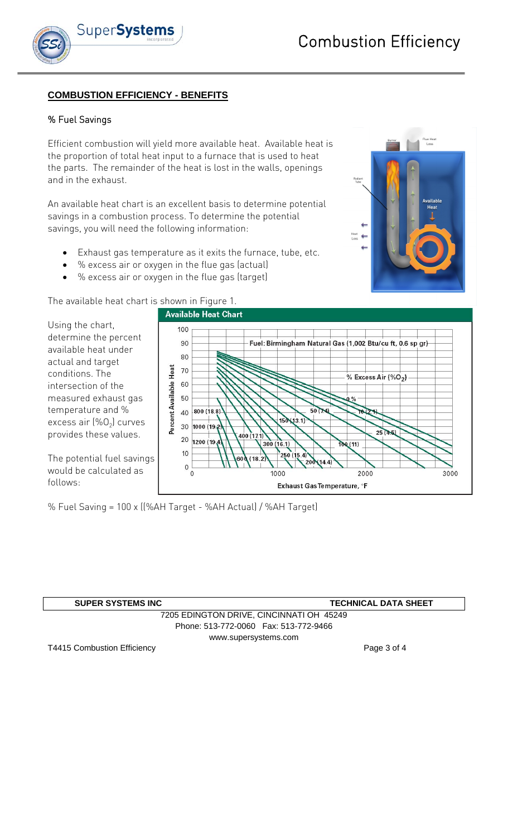

# **COMBUSTION EFFICIENCY - BENEFITS**

#### % Fuel Savings

Efficient combustion will yield more available heat. Available heat is the proportion of total heat input to a furnace that is used to heat the parts. The remainder of the heat is lost in the walls, openings and in the exhaust.

An available heat chart is an excellent basis to determine potential savings in a combustion process. To determine the potential savings, you will need the following information:

- Exhaust gas temperature as it exits the furnace, tube, etc.
- % excess air or oxygen in the flue gas (actual)
- % excess air or oxygen in the flue gas (target)

The available heat chart is shown in Figure 1.

Using the chart, determine the percent available heat under actual and target conditions. The intersection of the measured exhaust gas temperature and % excess air  $(\%O_2)$  curves provides these values.

The potential fuel savings would be calculated as follows:

% Fuel Saving = 100 x ((%AH Target - %AH Actual) / %AH Target)

| <b>SUPER SYSTEMS INC</b>                 | <b>TECHNICAL DATA SHEET</b> |
|------------------------------------------|-----------------------------|
| 7205 EDINGTON DRIVE, CINCINNATI OH 45249 |                             |
| Phone: 513-772-0060  Fax: 513-772-9466   |                             |
|                                          | www.supersystems.com        |

T4415 Combustion Efficiency **Page 3 of 4** and 2 and 2 and 2 and 2 and 2 and 2 and 2 and 2 and 2 and 2 and 2 and 2 and 2 and 2 and 2 and 2 and 2 and 2 and 2 and 2 and 2 and 2 and 2 and 2 and 2 and 2 and 2 and 2 and 2 and 2